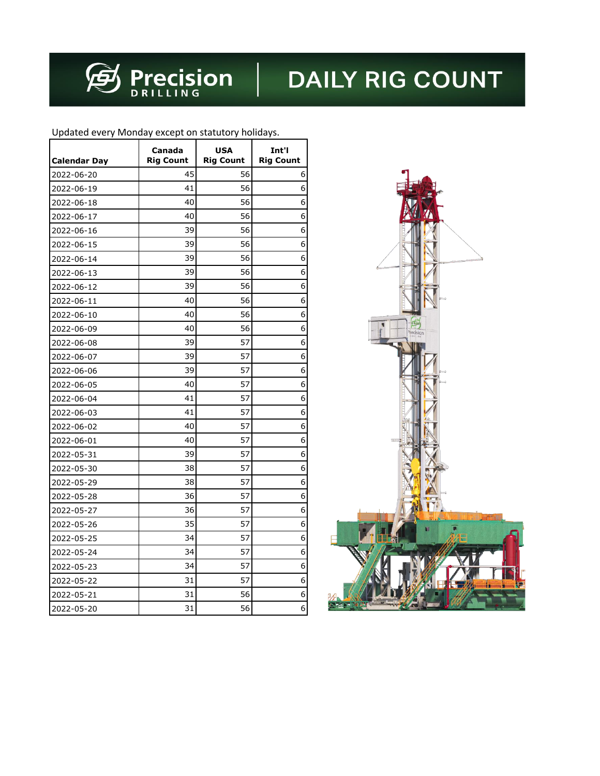

## **DAILY RIG COUNT**

Updated every Monday except on statutory holidays.

| <b>Calendar Day</b> | Canada<br><b>Rig Count</b> | <b>USA</b><br><b>Rig Count</b> | Int'l<br><b>Rig Count</b> |
|---------------------|----------------------------|--------------------------------|---------------------------|
| 2022-06-20          | 45                         | 56                             | 6                         |
| 2022-06-19          | 41                         | 56                             | 6                         |
| 2022-06-18          | 40                         | 56                             | 6                         |
| 2022-06-17          | 40                         | 56                             | 6                         |
| 2022-06-16          | 39                         | 56                             | 6                         |
| 2022-06-15          | 39                         | 56                             | 6                         |
| 2022-06-14          | 39                         | 56                             | 6                         |
| 2022-06-13          | 39                         | 56                             | 6                         |
| 2022-06-12          | 39                         | 56                             | 6                         |
| 2022-06-11          | 40                         | 56                             | 6                         |
| 2022-06-10          | 40                         | 56                             | 6                         |
| 2022-06-09          | 40                         | 56                             | 6                         |
| 2022-06-08          | 39                         | 57                             | 6                         |
| 2022-06-07          | 39                         | 57                             | 6                         |
| 2022-06-06          | 39                         | 57                             | 6                         |
| 2022-06-05          | 40                         | 57                             | 6                         |
| 2022-06-04          | 41                         | 57                             | 6                         |
| 2022-06-03          | 41                         | 57                             | 6                         |
| 2022-06-02          | 40                         | 57                             | 6                         |
| 2022-06-01          | 40                         | 57                             | 6                         |
| 2022-05-31          | 39                         | 57                             | 6                         |
| 2022-05-30          | 38                         | 57                             | 6                         |
| 2022-05-29          | 38                         | 57                             | 6                         |
| 2022-05-28          | 36                         | 57                             | 6                         |
| 2022-05-27          | 36                         | 57                             | 6                         |
| 2022-05-26          | 35                         | 57                             | 6                         |
| 2022-05-25          | 34                         | 57                             | 6                         |
| 2022-05-24          | 34                         | 57                             | 6                         |
| 2022-05-23          | 34                         | 57                             | 6                         |
| 2022-05-22          | 31                         | 57                             | 6                         |
| 2022-05-21          | 31                         | 56                             | 6                         |
| 2022-05-20          | 31                         | 56                             | 6                         |

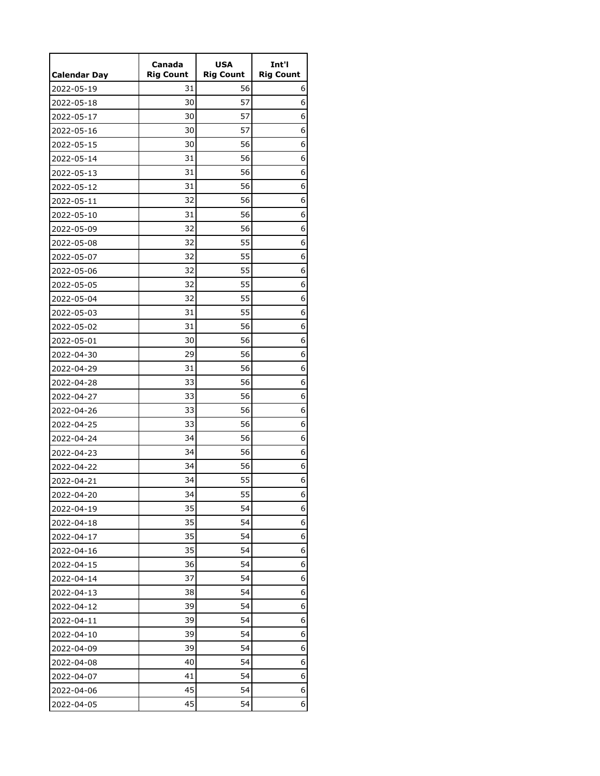|                     | Canada           | <b>USA</b>       | Int'l            |
|---------------------|------------------|------------------|------------------|
| <b>Calendar Day</b> | <b>Rig Count</b> | <b>Rig Count</b> | <b>Rig Count</b> |
| 2022-05-19          | 31               | 56               | 6                |
| 2022-05-18          | 30               | 57               | 6                |
| 2022-05-17          | 30               | 57               | 6                |
| 2022-05-16          | 30               | 57               | 6                |
| 2022-05-15          | 30               | 56               | 6                |
| 2022-05-14          | 31               | 56               | 6                |
| 2022-05-13          | 31               | 56               | 6                |
| 2022-05-12          | 31               | 56               | 6                |
| 2022-05-11          | 32               | 56               | 6                |
| 2022-05-10          | 31               | 56               | 6                |
| 2022-05-09          | 32               | 56               | 6                |
| 2022-05-08          | 32               | 55               | 6                |
| 2022-05-07          | 32               | 55               | 6                |
| 2022-05-06          | 32               | 55               | 6                |
| 2022-05-05          | 32               | 55               | 6                |
| 2022-05-04          | 32               | 55               | 6                |
| 2022-05-03          | 31               | 55               | 6                |
| 2022-05-02          | 31               | 56               | 6                |
| 2022-05-01          | 30               | 56               | 6                |
| 2022-04-30          | 29               | 56               | 6                |
| 2022-04-29          | 31               | 56               | 6                |
| 2022-04-28          | 33               | 56               | 6                |
| 2022-04-27          | 33               | 56               | 6                |
| 2022-04-26          | 33               | 56               | 6                |
| 2022-04-25          | 33               | 56               | 6                |
| 2022-04-24          | 34               | 56               | 6                |
| 2022-04-23          | 34               | 56               | 6                |
| 2022-04-22          | 34               | 56               | 6                |
| 2022-04-21          | 34               | 55               | 6                |
| 2022-04-20          | 34               | 55               | 6                |
| 2022-04-19          | 35               | 54               | 6                |
| 2022-04-18          | 35               | 54               | 6                |
| 2022-04-17          | 35               | 54               | 6                |
| 2022-04-16          | 35               | 54               | 6                |
| 2022-04-15          | 36               | 54               | 6                |
| 2022-04-14          | 37               | 54               | 6                |
| 2022-04-13          | 38               | 54               | 6                |
| 2022-04-12          | 39               | 54               | 6                |
| 2022-04-11          | 39               | 54               | 6                |
| 2022-04-10          | 39               | 54               | 6                |
| 2022-04-09          | 39               | 54               | 6                |
| 2022-04-08          | 40               | 54               | 6                |
| 2022-04-07          | 41               | 54               | 6                |
|                     | 45               | 54               | 6                |
| 2022-04-06          | 45               | 54               | 6                |
| 2022-04-05          |                  |                  |                  |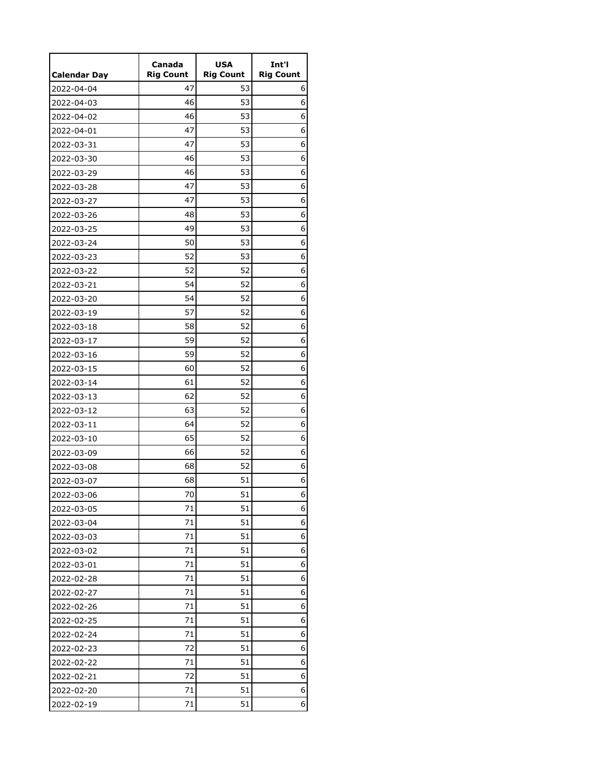| 2022-04-04<br>47<br>53<br>6<br>46<br>53<br>6<br>2022-04-03<br>53<br>6<br>46<br>2022-04-02<br>47<br>53<br>6<br>2022-04-01<br>53<br>47<br>6<br>2022-03-31<br>53<br>6<br>46<br>2022-03-30<br>46<br>53<br>6<br>2022-03-29<br>6<br>47<br>53<br>2022-03-28<br>53<br>6<br>47<br>2022-03-27<br>48<br>53<br>6<br>2022-03-26<br>53<br>6<br>49<br>2022-03-25<br>53<br>50<br>6<br>2022-03-24<br>52<br>53<br>6<br>2022-03-23<br>52<br>52<br>6<br>2022-03-22<br>54<br>52<br>6<br>2022-03-21<br>54<br>52<br>6<br>2022-03-20<br>57<br>52<br>6<br>2022-03-19<br>58<br>52<br>6<br>2022-03-18<br>59<br>52<br>6<br>2022-03-17<br>59<br>6<br>52<br>2022-03-16<br>52<br>60<br>6<br>2022-03-15<br>52<br>6<br>61<br>2022-03-14<br>52<br>62<br>6<br>2022-03-13<br>52<br>6<br>63<br>2022-03-12<br>52<br>64<br>6<br>2022-03-11<br>65<br>52<br>6<br>2022-03-10<br>52<br>6<br>66<br>2022-03-09<br>52<br>68<br>6<br>2022-03-08<br>51<br>6<br>68<br>2022-03-07<br>70<br>51<br>6<br>2022-03-06<br>71<br>51<br>6<br>2022-03-05<br>6<br>71<br>51<br>2022-03-04<br>51<br>6<br>71<br>2022-03-03<br>51<br>71<br>6<br>2022-03-02<br>71<br>51<br>6<br>2022-03-01<br>71<br>51<br>6<br>2022-02-28<br>6<br>71<br>51<br>2022-02-27<br>51<br>6<br>71<br>2022-02-26<br>71<br>51<br>6<br>71<br>51<br>6<br>2022-02-24<br>6<br>72<br>51<br>2022-02-23<br>71<br>51<br>6<br>2022-02-22<br>72<br>51<br>6<br>2022-02-21<br>71<br>51<br>6<br>2022-02-20 |                     | Canada           | <b>USA</b>       | Int'l            |
|----------------------------------------------------------------------------------------------------------------------------------------------------------------------------------------------------------------------------------------------------------------------------------------------------------------------------------------------------------------------------------------------------------------------------------------------------------------------------------------------------------------------------------------------------------------------------------------------------------------------------------------------------------------------------------------------------------------------------------------------------------------------------------------------------------------------------------------------------------------------------------------------------------------------------------------------------------------------------------------------------------------------------------------------------------------------------------------------------------------------------------------------------------------------------------------------------------------------------------------------------------------------------------------------------------------------------------------------------------------------------------------------------|---------------------|------------------|------------------|------------------|
|                                                                                                                                                                                                                                                                                                                                                                                                                                                                                                                                                                                                                                                                                                                                                                                                                                                                                                                                                                                                                                                                                                                                                                                                                                                                                                                                                                                                    | <b>Calendar Day</b> | <b>Rig Count</b> | <b>Rig Count</b> | <b>Rig Count</b> |
|                                                                                                                                                                                                                                                                                                                                                                                                                                                                                                                                                                                                                                                                                                                                                                                                                                                                                                                                                                                                                                                                                                                                                                                                                                                                                                                                                                                                    |                     |                  |                  |                  |
|                                                                                                                                                                                                                                                                                                                                                                                                                                                                                                                                                                                                                                                                                                                                                                                                                                                                                                                                                                                                                                                                                                                                                                                                                                                                                                                                                                                                    |                     |                  |                  |                  |
|                                                                                                                                                                                                                                                                                                                                                                                                                                                                                                                                                                                                                                                                                                                                                                                                                                                                                                                                                                                                                                                                                                                                                                                                                                                                                                                                                                                                    |                     |                  |                  |                  |
|                                                                                                                                                                                                                                                                                                                                                                                                                                                                                                                                                                                                                                                                                                                                                                                                                                                                                                                                                                                                                                                                                                                                                                                                                                                                                                                                                                                                    |                     |                  |                  |                  |
|                                                                                                                                                                                                                                                                                                                                                                                                                                                                                                                                                                                                                                                                                                                                                                                                                                                                                                                                                                                                                                                                                                                                                                                                                                                                                                                                                                                                    |                     |                  |                  |                  |
|                                                                                                                                                                                                                                                                                                                                                                                                                                                                                                                                                                                                                                                                                                                                                                                                                                                                                                                                                                                                                                                                                                                                                                                                                                                                                                                                                                                                    |                     |                  |                  |                  |
|                                                                                                                                                                                                                                                                                                                                                                                                                                                                                                                                                                                                                                                                                                                                                                                                                                                                                                                                                                                                                                                                                                                                                                                                                                                                                                                                                                                                    |                     |                  |                  |                  |
|                                                                                                                                                                                                                                                                                                                                                                                                                                                                                                                                                                                                                                                                                                                                                                                                                                                                                                                                                                                                                                                                                                                                                                                                                                                                                                                                                                                                    |                     |                  |                  |                  |
|                                                                                                                                                                                                                                                                                                                                                                                                                                                                                                                                                                                                                                                                                                                                                                                                                                                                                                                                                                                                                                                                                                                                                                                                                                                                                                                                                                                                    |                     |                  |                  |                  |
|                                                                                                                                                                                                                                                                                                                                                                                                                                                                                                                                                                                                                                                                                                                                                                                                                                                                                                                                                                                                                                                                                                                                                                                                                                                                                                                                                                                                    |                     |                  |                  |                  |
|                                                                                                                                                                                                                                                                                                                                                                                                                                                                                                                                                                                                                                                                                                                                                                                                                                                                                                                                                                                                                                                                                                                                                                                                                                                                                                                                                                                                    |                     |                  |                  |                  |
|                                                                                                                                                                                                                                                                                                                                                                                                                                                                                                                                                                                                                                                                                                                                                                                                                                                                                                                                                                                                                                                                                                                                                                                                                                                                                                                                                                                                    |                     |                  |                  |                  |
|                                                                                                                                                                                                                                                                                                                                                                                                                                                                                                                                                                                                                                                                                                                                                                                                                                                                                                                                                                                                                                                                                                                                                                                                                                                                                                                                                                                                    |                     |                  |                  |                  |
|                                                                                                                                                                                                                                                                                                                                                                                                                                                                                                                                                                                                                                                                                                                                                                                                                                                                                                                                                                                                                                                                                                                                                                                                                                                                                                                                                                                                    |                     |                  |                  |                  |
|                                                                                                                                                                                                                                                                                                                                                                                                                                                                                                                                                                                                                                                                                                                                                                                                                                                                                                                                                                                                                                                                                                                                                                                                                                                                                                                                                                                                    |                     |                  |                  |                  |
|                                                                                                                                                                                                                                                                                                                                                                                                                                                                                                                                                                                                                                                                                                                                                                                                                                                                                                                                                                                                                                                                                                                                                                                                                                                                                                                                                                                                    |                     |                  |                  |                  |
|                                                                                                                                                                                                                                                                                                                                                                                                                                                                                                                                                                                                                                                                                                                                                                                                                                                                                                                                                                                                                                                                                                                                                                                                                                                                                                                                                                                                    |                     |                  |                  |                  |
|                                                                                                                                                                                                                                                                                                                                                                                                                                                                                                                                                                                                                                                                                                                                                                                                                                                                                                                                                                                                                                                                                                                                                                                                                                                                                                                                                                                                    |                     |                  |                  |                  |
|                                                                                                                                                                                                                                                                                                                                                                                                                                                                                                                                                                                                                                                                                                                                                                                                                                                                                                                                                                                                                                                                                                                                                                                                                                                                                                                                                                                                    |                     |                  |                  |                  |
|                                                                                                                                                                                                                                                                                                                                                                                                                                                                                                                                                                                                                                                                                                                                                                                                                                                                                                                                                                                                                                                                                                                                                                                                                                                                                                                                                                                                    |                     |                  |                  |                  |
|                                                                                                                                                                                                                                                                                                                                                                                                                                                                                                                                                                                                                                                                                                                                                                                                                                                                                                                                                                                                                                                                                                                                                                                                                                                                                                                                                                                                    |                     |                  |                  |                  |
|                                                                                                                                                                                                                                                                                                                                                                                                                                                                                                                                                                                                                                                                                                                                                                                                                                                                                                                                                                                                                                                                                                                                                                                                                                                                                                                                                                                                    |                     |                  |                  |                  |
|                                                                                                                                                                                                                                                                                                                                                                                                                                                                                                                                                                                                                                                                                                                                                                                                                                                                                                                                                                                                                                                                                                                                                                                                                                                                                                                                                                                                    |                     |                  |                  |                  |
|                                                                                                                                                                                                                                                                                                                                                                                                                                                                                                                                                                                                                                                                                                                                                                                                                                                                                                                                                                                                                                                                                                                                                                                                                                                                                                                                                                                                    |                     |                  |                  |                  |
|                                                                                                                                                                                                                                                                                                                                                                                                                                                                                                                                                                                                                                                                                                                                                                                                                                                                                                                                                                                                                                                                                                                                                                                                                                                                                                                                                                                                    |                     |                  |                  |                  |
|                                                                                                                                                                                                                                                                                                                                                                                                                                                                                                                                                                                                                                                                                                                                                                                                                                                                                                                                                                                                                                                                                                                                                                                                                                                                                                                                                                                                    |                     |                  |                  |                  |
|                                                                                                                                                                                                                                                                                                                                                                                                                                                                                                                                                                                                                                                                                                                                                                                                                                                                                                                                                                                                                                                                                                                                                                                                                                                                                                                                                                                                    |                     |                  |                  |                  |
|                                                                                                                                                                                                                                                                                                                                                                                                                                                                                                                                                                                                                                                                                                                                                                                                                                                                                                                                                                                                                                                                                                                                                                                                                                                                                                                                                                                                    |                     |                  |                  |                  |
|                                                                                                                                                                                                                                                                                                                                                                                                                                                                                                                                                                                                                                                                                                                                                                                                                                                                                                                                                                                                                                                                                                                                                                                                                                                                                                                                                                                                    |                     |                  |                  |                  |
|                                                                                                                                                                                                                                                                                                                                                                                                                                                                                                                                                                                                                                                                                                                                                                                                                                                                                                                                                                                                                                                                                                                                                                                                                                                                                                                                                                                                    |                     |                  |                  |                  |
|                                                                                                                                                                                                                                                                                                                                                                                                                                                                                                                                                                                                                                                                                                                                                                                                                                                                                                                                                                                                                                                                                                                                                                                                                                                                                                                                                                                                    |                     |                  |                  |                  |
|                                                                                                                                                                                                                                                                                                                                                                                                                                                                                                                                                                                                                                                                                                                                                                                                                                                                                                                                                                                                                                                                                                                                                                                                                                                                                                                                                                                                    |                     |                  |                  |                  |
|                                                                                                                                                                                                                                                                                                                                                                                                                                                                                                                                                                                                                                                                                                                                                                                                                                                                                                                                                                                                                                                                                                                                                                                                                                                                                                                                                                                                    |                     |                  |                  |                  |
|                                                                                                                                                                                                                                                                                                                                                                                                                                                                                                                                                                                                                                                                                                                                                                                                                                                                                                                                                                                                                                                                                                                                                                                                                                                                                                                                                                                                    |                     |                  |                  |                  |
|                                                                                                                                                                                                                                                                                                                                                                                                                                                                                                                                                                                                                                                                                                                                                                                                                                                                                                                                                                                                                                                                                                                                                                                                                                                                                                                                                                                                    |                     |                  |                  |                  |
|                                                                                                                                                                                                                                                                                                                                                                                                                                                                                                                                                                                                                                                                                                                                                                                                                                                                                                                                                                                                                                                                                                                                                                                                                                                                                                                                                                                                    |                     |                  |                  |                  |
|                                                                                                                                                                                                                                                                                                                                                                                                                                                                                                                                                                                                                                                                                                                                                                                                                                                                                                                                                                                                                                                                                                                                                                                                                                                                                                                                                                                                    |                     |                  |                  |                  |
|                                                                                                                                                                                                                                                                                                                                                                                                                                                                                                                                                                                                                                                                                                                                                                                                                                                                                                                                                                                                                                                                                                                                                                                                                                                                                                                                                                                                    |                     |                  |                  |                  |
|                                                                                                                                                                                                                                                                                                                                                                                                                                                                                                                                                                                                                                                                                                                                                                                                                                                                                                                                                                                                                                                                                                                                                                                                                                                                                                                                                                                                    | 2022-02-25          |                  |                  |                  |
|                                                                                                                                                                                                                                                                                                                                                                                                                                                                                                                                                                                                                                                                                                                                                                                                                                                                                                                                                                                                                                                                                                                                                                                                                                                                                                                                                                                                    |                     |                  |                  |                  |
|                                                                                                                                                                                                                                                                                                                                                                                                                                                                                                                                                                                                                                                                                                                                                                                                                                                                                                                                                                                                                                                                                                                                                                                                                                                                                                                                                                                                    |                     |                  |                  |                  |
|                                                                                                                                                                                                                                                                                                                                                                                                                                                                                                                                                                                                                                                                                                                                                                                                                                                                                                                                                                                                                                                                                                                                                                                                                                                                                                                                                                                                    |                     |                  |                  |                  |
|                                                                                                                                                                                                                                                                                                                                                                                                                                                                                                                                                                                                                                                                                                                                                                                                                                                                                                                                                                                                                                                                                                                                                                                                                                                                                                                                                                                                    |                     |                  |                  |                  |
|                                                                                                                                                                                                                                                                                                                                                                                                                                                                                                                                                                                                                                                                                                                                                                                                                                                                                                                                                                                                                                                                                                                                                                                                                                                                                                                                                                                                    |                     |                  |                  |                  |
|                                                                                                                                                                                                                                                                                                                                                                                                                                                                                                                                                                                                                                                                                                                                                                                                                                                                                                                                                                                                                                                                                                                                                                                                                                                                                                                                                                                                    | 2022-02-19          | 71               | 51               | 6                |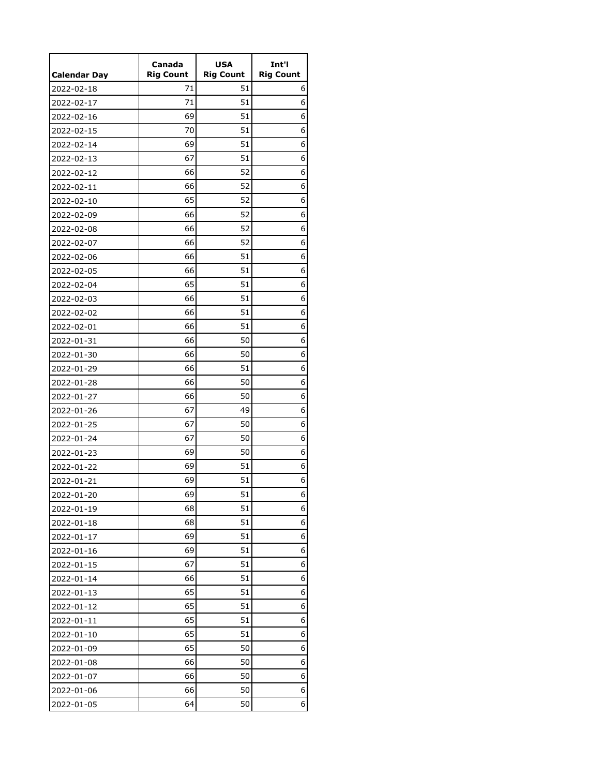|                     | Canada           | <b>USA</b>       | Int'l            |
|---------------------|------------------|------------------|------------------|
| <b>Calendar Day</b> | <b>Rig Count</b> | <b>Rig Count</b> | <b>Rig Count</b> |
| 2022-02-18          | 71               | 51               | 6                |
| 2022-02-17          | 71               | 51               | 6                |
| 2022-02-16          | 69               | 51               | 6                |
| 2022-02-15          | 70               | 51               | 6                |
| 2022-02-14          | 69               | 51               | 6                |
| 2022-02-13          | 67               | 51               | 6                |
| 2022-02-12          | 66               | 52               | 6                |
| 2022-02-11          | 66               | 52               | 6                |
| 2022-02-10          | 65               | 52               | 6                |
| 2022-02-09          | 66               | 52               | 6                |
| 2022-02-08          | 66               | 52               | 6                |
| 2022-02-07          | 66               | 52               | 6                |
| 2022-02-06          | 66               | 51               | 6                |
| 2022-02-05          | 66               | 51               | 6                |
| 2022-02-04          | 65               | 51               | 6                |
| 2022-02-03          | 66               | 51               | 6                |
| 2022-02-02          | 66               | 51               | 6                |
| 2022-02-01          | 66               | 51               | 6                |
| 2022-01-31          | 66               | 50               | 6                |
| 2022-01-30          | 66               | 50               | 6                |
| 2022-01-29          | 66               | 51               | 6                |
| 2022-01-28          | 66               | 50               | 6                |
| 2022-01-27          | 66               | 50               | 6                |
| 2022-01-26          | 67               | 49               | 6                |
| 2022-01-25          | 67               | 50               | 6                |
| 2022-01-24          | 67               | 50               | 6                |
| 2022-01-23          | 69               | 50               | 6                |
| 2022-01-22          | 69               | 51               | 6                |
| 2022-01-21          | 69               | 51               | 6                |
| 2022-01-20          | 69               | 51               | 6                |
| 2022-01-19          | 68               | 51               | 6                |
| 2022-01-18          | 68               | 51               | 6                |
| 2022-01-17          | 69               | 51               | 6                |
| 2022-01-16          | 69               | 51               | 6                |
| 2022-01-15          | 67               | 51               | 6                |
| 2022-01-14          | 66               | 51               | 6                |
| 2022-01-13          | 65               | 51               | 6                |
| 2022-01-12          | 65               | 51               | 6                |
| 2022-01-11          | 65               | 51               | 6                |
| 2022-01-10          | 65               | 51               | 6                |
| 2022-01-09          | 65               | 50               | 6                |
| 2022-01-08          | 66               | 50               | 6                |
| 2022-01-07          | 66               | 50               | 6                |
| 2022-01-06          | 66               | 50               | 6                |
| 2022-01-05          | 64               | 50               | 6                |